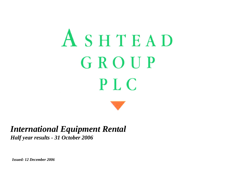# ASHTEAD GROUP **PLC**

### *International Equipment Rental Half year results - 31 October 2006*

*Issued: 12 December 2006*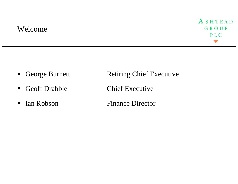### Welcome



- George Burnett
- Geoff Drabble Chief Executive
- Ian Robson

Retiring Chief Executive

**Finance Director**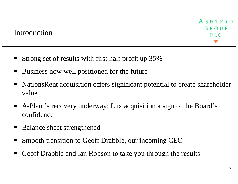- Strong set of results with first half profit up 35%
- Business now well positioned for the future
- NationsRent acquisition offers significant potential to create shareholder value
- ٠ A-Plant's recovery underway; Lux acquisition a sign of the Board's confidence
- $\blacksquare$ Balance sheet strengthened
- $\blacksquare$ Smooth transition to Geoff Drabble, our incoming CEO
- $\blacksquare$ Geoff Drabble and Ian Robson to take you through the results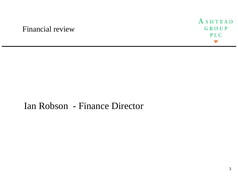### Financial review



# Ian Robson - Finance Director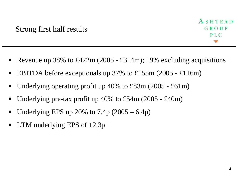- $\blacksquare$ Revenue up 38% to £422m (2005 - £314m); 19% excluding acquisitions
- $\blacksquare$ EBITDA before exceptionals up 37% to £155m (2005 - £116m)
- Underlying operating profit up 40% to £83m (2005 £61m)
- $\blacksquare$ Underlying pre-tax profit up 40% to £54m (2005 - £40m)
- Underlying EPS up 20% to  $7.4p$  (2005 6.4p)
- LTM underlying EPS of 12.3p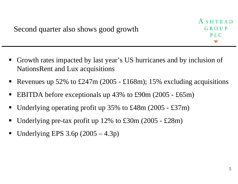- $\blacksquare$  Growth rates impacted by last year's US hurricanes and by inclusion of NationsRent and Lux acquisitions
- $\blacksquare$ Revenues up 52% to £247m (2005 - £168m); 15% excluding acquisitions
- $\blacksquare$ EBITDA before exceptionals up 43% to £90m (2005 - £65m)
- Underlying operating profit up 35% to £48m (2005 £37m)
- $\blacksquare$ Underlying pre-tax profit up 12% to £30m (2005 - £28m)
- Underlying EPS  $3.6p(2005-4.3p)$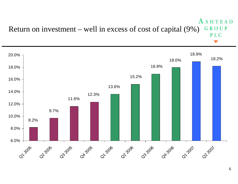#### ASHTEAD Return on investment – well in excess of cost of capital (9%) GROUP PLC

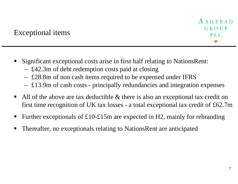- ٠ Significant exceptional costs arise in first half relating to NationsRent:
	- £42.3m of debt redemption costs paid at closing
	- £28.8m of non cash items required to be expensed under IFRS
	- –£13.9m of cash costs - principally redundancies and integration expenses
- ٠ All of the above are tax deductible & there is also an exceptional tax credit on first time recognition of UK tax losses - a total exceptional tax credit of £62.7m
- Further exceptionals of £10-£15m are expected in H2, mainly for rebranding
- ٠ Thereafter, no exceptionals relating to NationsRent are anticipated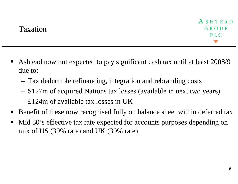- Ashtead now not expected to pay significant cash tax until at least 2008/9 due to:
	- Tax deductible refinancing, integration and rebranding costs
	- \$127m of acquired Nations tax losses (available in next two years)
	- £124m of available tax losses in UK
- $\blacksquare$ Benefit of these now recognised fully on balance sheet within deferred tax
- $\blacksquare$  Mid 30's effective tax rate expected for accounts purposes depending on mix of US (39% rate) and UK (30% rate)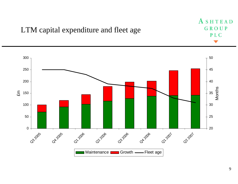

#### 9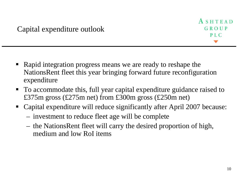- Rapid integration progress means we are ready to reshape the NationsRent fleet this year bringing forward future reconfiguration expenditure
- To accommodate this, full year capital expenditure guidance raised to £375m gross (£275m net) from £300m gross (£250m net)
- E Capital expenditure will reduce significantly after April 2007 because:
	- investment to reduce fleet age will be complete
	- the NationsRent fleet will carry the desired proportion of high, medium and low RoI items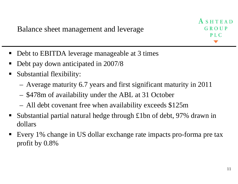Balance sheet management and leverage

ASHTEAD GROUP  $P<sub>L</sub> C$ 

- Debt to EBITDA leverage manageable at 3 times
- Debt pay down anticipated in 2007/8
- $\blacksquare$  Substantial flexibility:
	- Average maturity 6.7 years and first significant maturity in 2011
	- \$478m of availability under the ABL at 31 October
	- All debt covenant free when availability exceeds \$125m
- $\blacksquare$  Substantial partial natural hedge through £1bn of debt, 97% drawn in dollars
- $\blacksquare$  Every 1% change in US dollar exchange rate impacts pro-forma pre tax profit by 0.8%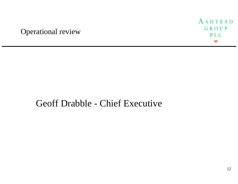### Operational review



# Geoff Drabble - Chief Executive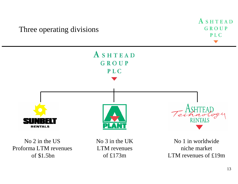ASHTEAD Three operating divisions GROUP PLC ASHTEAD GROUP PLC **RENTAL RENTALS** No 2 in the USNo 3 in the UKNo 1 in worldwide Proforma LTM revenuesLTM revenuesniche marketof \$1.5bnof £173mLTM revenues of £19m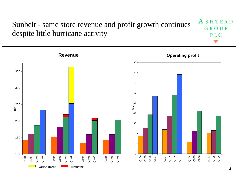#### ASHTEAD Sunbelt - same store revenue and profit growth continues GROUP despite little hurricane activity PLC

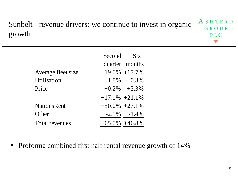#### ASHTEAD Sunbelt **-** revenue drivers: we continue to invest in organic GROUP growth **PLC**

| Second Six          |                   |
|---------------------|-------------------|
|                     | quarter months    |
| $+19.0\% +17.7\%$   |                   |
|                     | $-1.8\% -0.3\%$   |
|                     | $+0.2\%$ $+3.3\%$ |
| $+17.1\%$ $+21.1\%$ |                   |
| $+50.0\%$ $+27.1\%$ |                   |
|                     | $-2.1\% -1.4\%$   |
| $+65.0\% +46.8\%$   |                   |
|                     |                   |

 $\blacksquare$ Proforma combined first half rental revenue growth of 14%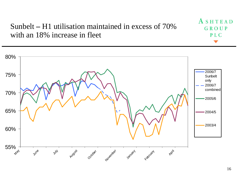Sunbelt **–** H1 utilisation maintained in excess of 70% with an 18% increase in fleet

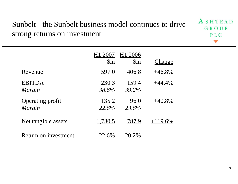## Sunbelt - the Sunbelt business model continues to drive strong returns on investment

|                                   |                       | H1 2006               |           |
|-----------------------------------|-----------------------|-----------------------|-----------|
|                                   | $\mathbb{S}_{m}$      | $\mathbb{S}_{m}$      | Change    |
| Revenue                           | <u>597.0</u>          | <u>406.8</u>          | $+46.8\%$ |
| <b>EBITDA</b><br>Margin           | <u>230.3</u><br>38.6% | <u>159.4</u><br>39.2% | $+44.4\%$ |
| <b>Operating profit</b><br>Margin | <u>135.2</u><br>22.6% | <u>96.0</u><br>23.6%  | $+40.8\%$ |
| Net tangible assets               | <u>1,730.5</u>        | <u>787.9</u>          |           |
| Return on investment              | <u>22</u> .6%         |                       |           |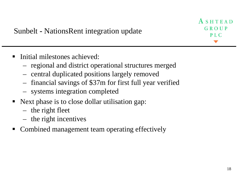ASHTEAD GROUP  $P<sub>L</sub> C$ 

- ٠ Initial milestones achieved:
	- –- regional and district operational structures merged
	- –- central duplicated positions largely removed
	- –- financial savings of \$37m for first full year verified
	- –systems integration completed
- Next phase is to close dollar utilisation gap:
	- –- the right fleet
	- –- the right incentives
- Combined management team operating effectively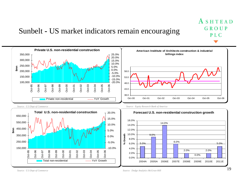### Sunbelt **-** US market indicators remain encouraging



*Source: U.S Dept of Commerce*

ASHTEAD

GROUP

P<sub>L</sub>C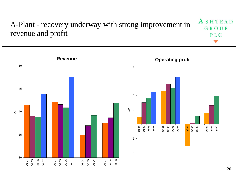#### ASHTEAD A-Plant - recovery underway with strong improvement in GROUP revenue and profit PLC

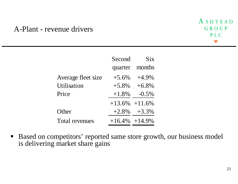### A-Plant - revenue drivers



|                       | Second              | <b>Six</b>      |
|-----------------------|---------------------|-----------------|
|                       |                     | quarter months  |
| Average fleet size    | $+5.6\%$            | $+4.9\%$        |
| Utilisation           | $+5.8\%$            | $+6.8%$         |
| Price                 | $+1.8\%$            | $-0.5\%$        |
|                       | $+13.6\%$ $+11.6\%$ |                 |
| Other                 |                     | $+2.8\% +3.3\%$ |
| <b>Total revenues</b> | $+16.4\%$ $+14.9\%$ |                 |

 $\blacksquare$  Based on competitors' reported same store growth, our business model is delivering market share gains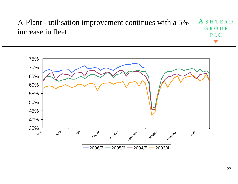#### ASHTEAD A-Plant - utilisation improvement continues with a 5% GROUP increase in fleet PLC

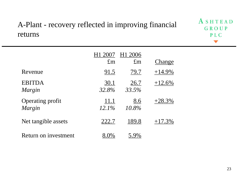### A-Plant - recovery reflected in improving financial returns



|                                   | H1 2007                  | H1 2006              |           |
|-----------------------------------|--------------------------|----------------------|-----------|
|                                   | $\pounds$ m              | $\pounds$ m          | Change    |
| Revenue                           | <u>91.5</u>              | <u>79.7</u>          | $+14.9\%$ |
| <b>EBITDA</b><br>Margin           | <u>30.1</u><br>32.8%     | <u>26.7</u><br>33.5% | $+12.6\%$ |
| <b>Operating profit</b><br>Margin | <u> 11.1</u><br>$12.1\%$ | <u>8.6</u><br>10.8%  | $+28.3\%$ |
| Net tangible assets               | <u> 222.7</u>            | <u>189.8</u>         | $+17.3\%$ |
| Return on investment              |                          | 5.9%                 |           |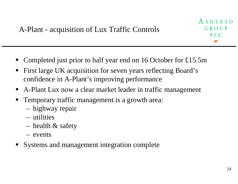- $\blacksquare$ Completed just prior to half year end on 16 October for £15.5m
- $\blacksquare$  First large UK acquisition for seven years reflecting Board's confidence in A-Plant's improving performance
- A-Plant Lux now a clear market leader in traffic management
- $\blacksquare$  Temporary traffic management is a growth area:
	- –highway repair
	- utilities
	- – $-$  health  $\&$  safety
	- events
- $\blacksquare$ Systems and management integration complete

ASHTEAD

GROUP

PIC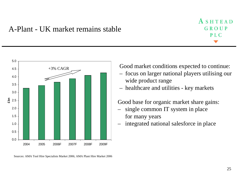### A-Plant - UK market remains stable





Sources: AMA Tool Hire Specialists Market 2006; AMA Plant Hire Market 2006

Good market conditions expected to continue:

- focus on larger national players utilising our wide product range
- healthcare and utilities key markets

Good base for organic market share gains:

- single common IT system in place for many years
- integrated national salesforce in place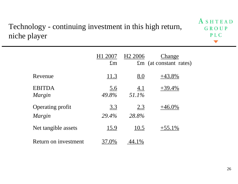### Technology - continuing investment in this high return, niche player

|                                          | 2007<br>H1<br>$\pounds$ m | H <sub>2</sub> 2006 | Change<br>$\mathfrak{m}$ (at constant rates) |
|------------------------------------------|---------------------------|---------------------|----------------------------------------------|
| Revenue                                  | <u> 11.3</u>              | $\underline{8.0}$   | $+43.8\%$                                    |
| <b>EBITDA</b><br>Margin                  | <u>5.6</u><br>49.8%       | <u>4.1</u><br>51.1% | $+39.4\%$                                    |
| <b>Operating profit</b><br><i>Margin</i> | 3.3<br>29.4%              | <u>2.3</u><br>28.8% | $+46.0\%$                                    |
| Net tangible assets                      | <u>15.9</u>               | <u>10.5</u>         | $+55.1\%$                                    |
| Return on investment                     |                           |                     |                                              |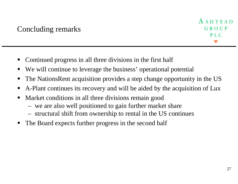- Continued progress in all three divisions in the first half
- ٠ We will continue to leverage the business' operational potential
- ٠ The NationsRent acquisition provides a step change opportunity in the US
- ٠ A-Plant continues its recovery and will be aided by the acquisition of Lux
- ٠ Market conditions in all three divisions remain good
	- –we are also well positioned to gain further market share
	- –structural shift from ownership to rental in the US continues
- ٠ The Board expects further progress in the second half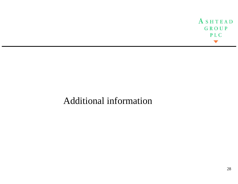ASHTEAD GROUP PLC

# Additional information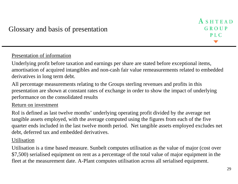### Presentation of information

Underlying profit before taxation and earnings per share are stated before exceptional items, amortisation of acquired intangibles and non-cash fair value remeasurements related to embedded derivatives in long term debt.

All percentage measurements relating to the Groups sterling revenues and profits in this presentation are shown at constant rates of exchange in order to show the impact of underlying performance on the consolidated results

### Return on investment

RoI is defined as last twelve months' underlying operating profit divided by the average net tangible assets employed, with the average computed using the figures from each of the five quarter ends included in the last twelve month period. Net tangible assets employed excludes net debt, deferred tax and embedded derivatives.

### Utilisation

Utilisation is a time based measure. Sunbelt computes utilisation as the value of major (cost over \$7,500) serialised equipment on rent as a percentage of the total value of major equipment in the fleet at the measurement date. A-Plant computes utilisation across all serialised equipment.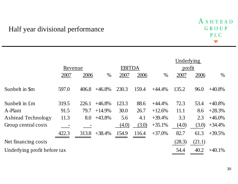### Half year divisional performance

|                              |         |       |               |       |        | Underlying |        |        |           |
|------------------------------|---------|-------|---------------|-------|--------|------------|--------|--------|-----------|
|                              | Revenue |       | <b>EBITDA</b> |       | profit |            |        |        |           |
|                              | 2007    | 2006  | $\%$          | 2007  | 2006   | $\%$       | 2007   | 2006   | $\%$      |
| Sunbelt in \$m               | 597.0   | 406.8 | $+46.8\%$     | 230.3 | 159.4  | $+44.4%$   | 135.2  | 96.0   | $+40.8\%$ |
| Sunbelt in £m                | 319.5   | 226.1 | $+46.8%$      | 123.3 | 88.6   | $+44.4%$   | 72.3   | 53.4   | $+40.8\%$ |
| A-Plant                      | 91.5    | 79.7  | $+14.9%$      | 30.0  | 26.7   | $+12.6%$   | 11.1   | 8.6    | $+28.3%$  |
| <b>Ashtead Technology</b>    | 11.3    | 8.0   | $+43.8%$      | 5.6   | 4.1    | $+39.4%$   | 3.3    | 2.3    | $+46.0\%$ |
| Group central costs          |         |       |               | (4.0) | (3.0)  | $+35.1%$   | (4.0)  | (3.0)  | $+34.4%$  |
|                              | 422.3   | 313.8 | $+38.4%$      | 154.9 | 116.4  | $+37.0%$   | 82.7   | 61.3   | $+39.5%$  |
| Net financing costs          |         |       |               |       |        |            | (28.3) | (21.1) |           |
| Underlying profit before tax |         |       |               |       |        |            | 54.4   | 40.2   | $+40.1%$  |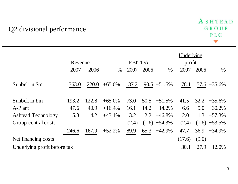### Q2 divisional performance

|                              |         |       |           |               |             |                 | Underlying |             |                 |
|------------------------------|---------|-------|-----------|---------------|-------------|-----------------|------------|-------------|-----------------|
|                              | Revenue |       |           | <b>EBITDA</b> |             |                 | profit     |             |                 |
|                              | 2007    | 2006  | $\%$      | 2007          | <u>2006</u> | $\%$            | 2007       | <u>2006</u> | $\%$            |
| Sunbelt in \$m               | 363.0   | 220.0 | $+65.0\%$ | 137.2         |             | $90.5 + 51.5\%$ | 78.1       |             | $57.6 + 35.6\%$ |
| Sunbelt in £m                | 193.2   | 122.8 | $+65.0\%$ | 73.0          | 50.5        | $+51.5%$        | 41.5       |             | $32.2 + 35.6\%$ |
| A-Plant                      | 47.6    | 40.9  | $+16.4%$  | 16.1          | 14.2        | $+14.2%$        | 6.6        | 5.0         | $+30.2%$        |
| <b>Ashtead Technology</b>    | 5.8     | 4.2   | $+43.1%$  | 3.2           | 2.2         | $+46.8%$        | 2.0        | 1.3         | $+57.3%$        |
| Group central costs          |         |       |           | (2.4)         |             | $(1.6) +54.3\%$ | (2.4)      |             | $(1.6) +53.5\%$ |
|                              | 246.6   | 167.9 | $+52.2%$  | 89.9          | 65.3        | $+42.9%$        | 47.7       | 36.9        | $+34.9%$        |
| Net financing costs          |         |       |           |               |             |                 | (17.6)     | (9.0)       |                 |
| Underlying profit before tax |         |       |           |               |             |                 | 30.1       |             | $27.9 + 12.0\%$ |